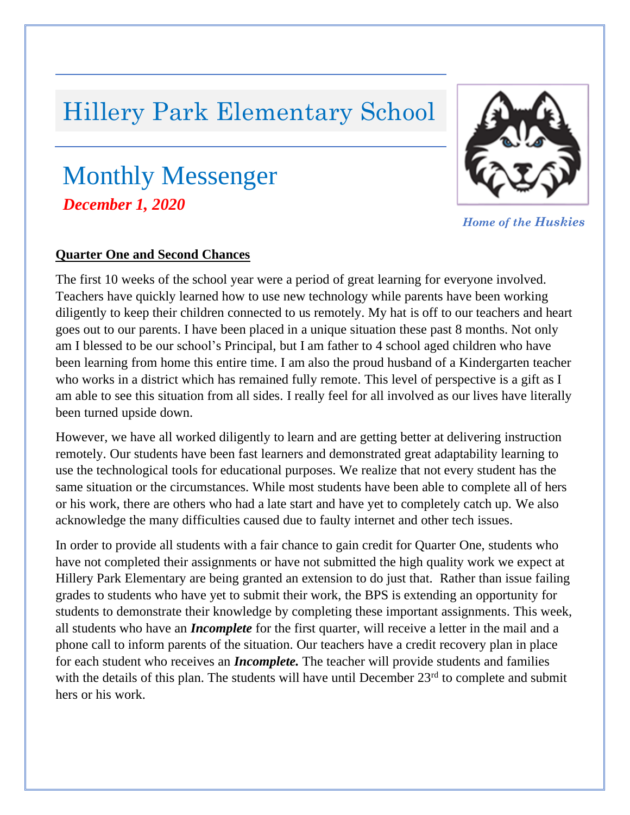# Hillery Park Elementary School

## Monthly Messenger *, December 1, 2020*



*Home of the Huskies*

#### **Quarter One and Second Chances**

The first 10 weeks of the school year were a period of great learning for everyone involved. Teachers have quickly learned how to use new technology while parents have been working diligently to keep their children connected to us remotely. My hat is off to our teachers and heart goes out to our parents. I have been placed in a unique situation these past 8 months. Not only am I blessed to be our school's Principal, but I am father to 4 school aged children who have been learning from home this entire time. I am also the proud husband of a Kindergarten teacher who works in a district which has remained fully remote. This level of perspective is a gift as I am able to see this situation from all sides. I really feel for all involved as our lives have literally been turned upside down.

However, we have all worked diligently to learn and are getting better at delivering instruction remotely. Our students have been fast learners and demonstrated great adaptability learning to use the technological tools for educational purposes. We realize that not every student has the same situation or the circumstances. While most students have been able to complete all of hers or his work, there are others who had a late start and have yet to completely catch up. We also acknowledge the many difficulties caused due to faulty internet and other tech issues.

In order to provide all students with a fair chance to gain credit for Quarter One, students who have not completed their assignments or have not submitted the high quality work we expect at Hillery Park Elementary are being granted an extension to do just that. Rather than issue failing grades to students who have yet to submit their work, the BPS is extending an opportunity for students to demonstrate their knowledge by completing these important assignments. This week, all students who have an *Incomplete* for the first quarter, will receive a letter in the mail and a phone call to inform parents of the situation. Our teachers have a credit recovery plan in place for each student who receives an *Incomplete.* The teacher will provide students and families with the details of this plan. The students will have until December 23<sup>rd</sup> to complete and submit hers or his work.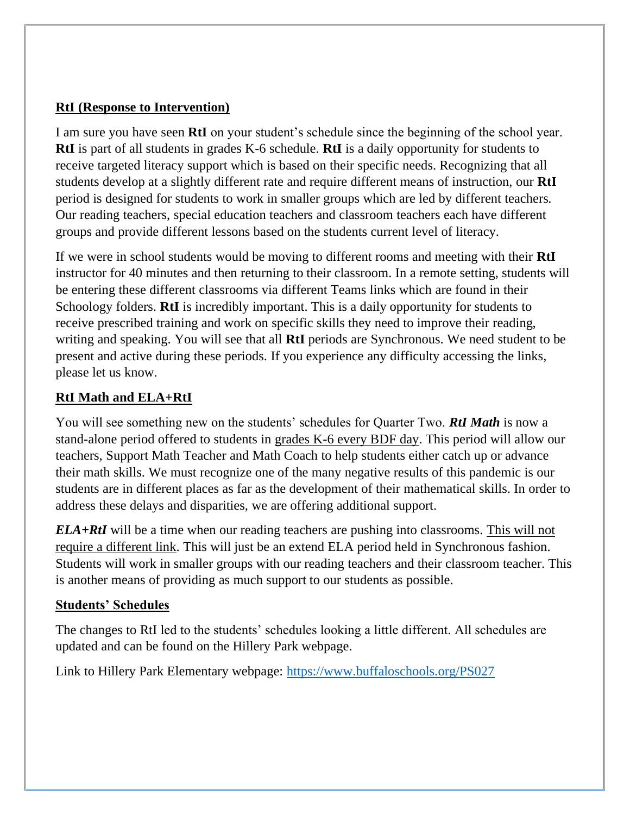## **RtI (Response to Intervention)**

I am sure you have seen **RtI** on your student's schedule since the beginning of the school year. **RtI** is part of all students in grades K-6 schedule. **RtI** is a daily opportunity for students to receive targeted literacy support which is based on their specific needs. Recognizing that all students develop at a slightly different rate and require different means of instruction, our **RtI** period is designed for students to work in smaller groups which are led by different teachers. Our reading teachers, special education teachers and classroom teachers each have different groups and provide different lessons based on the students current level of literacy.

If we were in school students would be moving to different rooms and meeting with their **RtI**  instructor for 40 minutes and then returning to their classroom. In a remote setting, students will be entering these different classrooms via different Teams links which are found in their Schoology folders. **RtI** is incredibly important. This is a daily opportunity for students to receive prescribed training and work on specific skills they need to improve their reading, writing and speaking. You will see that all **RtI** periods are Synchronous. We need student to be present and active during these periods. If you experience any difficulty accessing the links, please let us know.

## **RtI Math and ELA+RtI**

You will see something new on the students' schedules for Quarter Two. *RtI Math* is now a stand-alone period offered to students in grades K-6 every BDF day. This period will allow our teachers, Support Math Teacher and Math Coach to help students either catch up or advance their math skills. We must recognize one of the many negative results of this pandemic is our students are in different places as far as the development of their mathematical skills. In order to address these delays and disparities, we are offering additional support.

*ELA+RtI* will be a time when our reading teachers are pushing into classrooms. This will not require a different link. This will just be an extend ELA period held in Synchronous fashion. Students will work in smaller groups with our reading teachers and their classroom teacher. This is another means of providing as much support to our students as possible.

#### **Students' Schedules**

The changes to RtI led to the students' schedules looking a little different. All schedules are updated and can be found on the Hillery Park webpage.

Link to Hillery Park Elementary webpage:<https://www.buffaloschools.org/PS027>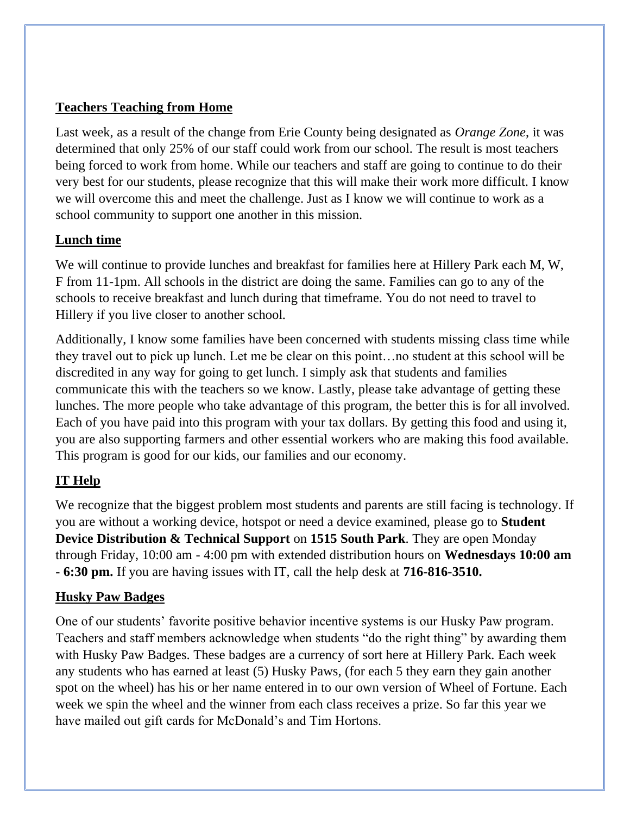## **Teachers Teaching from Home**

Last week, as a result of the change from Erie County being designated as *Orange Zone*, it was determined that only 25% of our staff could work from our school. The result is most teachers being forced to work from home. While our teachers and staff are going to continue to do their very best for our students, please recognize that this will make their work more difficult. I know we will overcome this and meet the challenge. Just as I know we will continue to work as a school community to support one another in this mission.

## **Lunch time**

We will continue to provide lunches and breakfast for families here at Hillery Park each M, W, F from 11-1pm. All schools in the district are doing the same. Families can go to any of the schools to receive breakfast and lunch during that timeframe. You do not need to travel to Hillery if you live closer to another school.

Additionally, I know some families have been concerned with students missing class time while they travel out to pick up lunch. Let me be clear on this point…no student at this school will be discredited in any way for going to get lunch. I simply ask that students and families communicate this with the teachers so we know. Lastly, please take advantage of getting these lunches. The more people who take advantage of this program, the better this is for all involved. Each of you have paid into this program with your tax dollars. By getting this food and using it, you are also supporting farmers and other essential workers who are making this food available. This program is good for our kids, our families and our economy.

## **IT Help**

We recognize that the biggest problem most students and parents are still facing is technology. If you are without a working device, hotspot or need a device examined, please go to **Student Device Distribution & Technical Support** on **1515 South Park**. They are open Monday through Friday, 10:00 am - 4:00 pm with extended distribution hours on **Wednesdays 10:00 am - 6:30 pm.** If you are having issues with IT, call the help desk at **716-816-3510.**

## **Husky Paw Badges**

One of our students' favorite positive behavior incentive systems is our Husky Paw program. Teachers and staff members acknowledge when students "do the right thing" by awarding them with Husky Paw Badges. These badges are a currency of sort here at Hillery Park. Each week any students who has earned at least (5) Husky Paws, (for each 5 they earn they gain another spot on the wheel) has his or her name entered in to our own version of Wheel of Fortune. Each week we spin the wheel and the winner from each class receives a prize. So far this year we have mailed out gift cards for McDonald's and Tim Hortons.